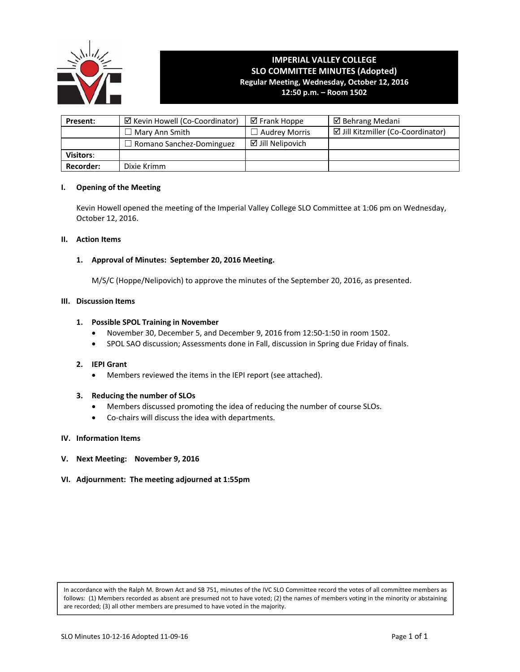

# **IMPERIAL VALLEY COLLEGE SLO COMMITTEE MINUTES (Adopted) Regular Meeting, Wednesday, October 12, 2016**

**12:50 p.m. – Room 1502**

| Present:         | ☑ Kevin Howell (Co-Coordinator) | $\boxtimes$ Frank Hoppe     | ☑ Behrang Medani                   |  |  |
|------------------|---------------------------------|-----------------------------|------------------------------------|--|--|
|                  | $\Box$ Mary Ann Smith           | $\Box$ Audrey Morris        | ☑ Jill Kitzmiller (Co-Coordinator) |  |  |
|                  | $\Box$ Romano Sanchez-Dominguez | $\boxtimes$ Jill Nelipovich |                                    |  |  |
| <b>Visitors:</b> |                                 |                             |                                    |  |  |
| <b>Recorder:</b> | Dixie Krimm                     |                             |                                    |  |  |

# **I. Opening of the Meeting**

Kevin Howell opened the meeting of the Imperial Valley College SLO Committee at 1:06 pm on Wednesday, October 12, 2016.

# **II. Action Items**

# **1. Approval of Minutes: September 20, 2016 Meeting.**

 M/S/C (Hoppe/Nelipovich) to approve the minutes of the September 20, 2016, as presented.

# **III. Discussion Items**

# **1. Possible SPOL Training in November**

- November 30, December 5, and December 9, 2016 from 12:50‐1:50 in room 1502.
- SPOL SAO discussion; Assessments done in Fall, discussion in Spring due Friday of finals.

# **2. IEPI Grant**

Members reviewed the items in the IEPI report (see attached).

#### **3. Reducing the number of SLOs**

- Members discussed promoting the idea of reducing the number of course SLOs.
- Co-chairs will discuss the idea with departments.

#### **IV. Information Items**

- **V. Next Meeting: November 9, 2016**
- **VI. Adjournment: The meeting adjourned at 1:55pm**

In accordance with the Ralph M. Brown Act and SB 751, minutes of the IVC SLO Committee record the votes of all committee members as follows: (1) Members recorded as absent are presumed not to have voted; (2) the names of members voting in the minority or abstaining are recorded; (3) all other members are presumed to have voted in the majority.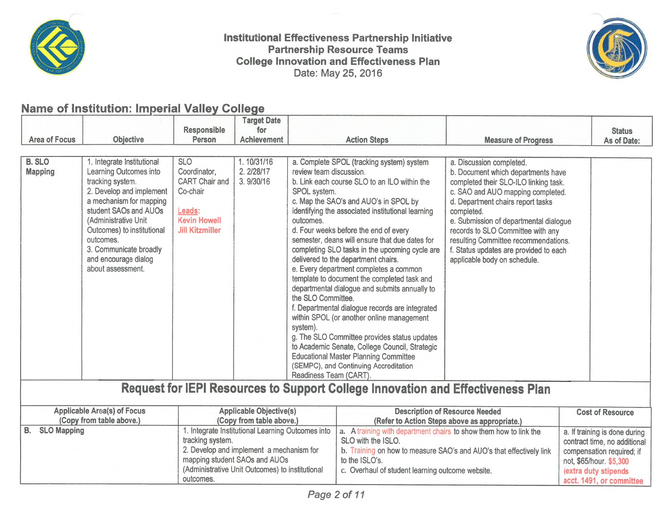

Institutional Effectiveness Partnership Initiative **Partnership Resource Teams College Innovation and Effectiveness Plan** Date: May 25, 2016



# Name of Institution: Imperial Valley College

|                                                                                 |                                                                                                                                                                                                                                                                                                    |                                                                                                                                                                                                       | <b>Target Date</b>                     |                                                                                                                                                                                                                                                                                                                                                                                                                                                                                                                                                                                                                                                                                                                                                                                                                                                                   |                                               |                                                                                                                                                                                                                                                                                                                                                                                                  |                                                                                                                                               |               |  |
|---------------------------------------------------------------------------------|----------------------------------------------------------------------------------------------------------------------------------------------------------------------------------------------------------------------------------------------------------------------------------------------------|-------------------------------------------------------------------------------------------------------------------------------------------------------------------------------------------------------|----------------------------------------|-------------------------------------------------------------------------------------------------------------------------------------------------------------------------------------------------------------------------------------------------------------------------------------------------------------------------------------------------------------------------------------------------------------------------------------------------------------------------------------------------------------------------------------------------------------------------------------------------------------------------------------------------------------------------------------------------------------------------------------------------------------------------------------------------------------------------------------------------------------------|-----------------------------------------------|--------------------------------------------------------------------------------------------------------------------------------------------------------------------------------------------------------------------------------------------------------------------------------------------------------------------------------------------------------------------------------------------------|-----------------------------------------------------------------------------------------------------------------------------------------------|---------------|--|
|                                                                                 |                                                                                                                                                                                                                                                                                                    | <b>Responsible</b>                                                                                                                                                                                    | for                                    |                                                                                                                                                                                                                                                                                                                                                                                                                                                                                                                                                                                                                                                                                                                                                                                                                                                                   |                                               |                                                                                                                                                                                                                                                                                                                                                                                                  |                                                                                                                                               | <b>Status</b> |  |
| <b>Area of Focus</b>                                                            | <b>Objective</b>                                                                                                                                                                                                                                                                                   | <b>Person</b>                                                                                                                                                                                         | <b>Achievement</b>                     | <b>Action Steps</b>                                                                                                                                                                                                                                                                                                                                                                                                                                                                                                                                                                                                                                                                                                                                                                                                                                               |                                               | <b>Measure of Progress</b>                                                                                                                                                                                                                                                                                                                                                                       |                                                                                                                                               | As of Date:   |  |
|                                                                                 |                                                                                                                                                                                                                                                                                                    |                                                                                                                                                                                                       |                                        |                                                                                                                                                                                                                                                                                                                                                                                                                                                                                                                                                                                                                                                                                                                                                                                                                                                                   |                                               |                                                                                                                                                                                                                                                                                                                                                                                                  |                                                                                                                                               |               |  |
| <b>B. SLO</b><br><b>Mapping</b>                                                 | 1. Integrate Institutional<br>Learning Outcomes into<br>tracking system.<br>2. Develop and implement<br>a mechanism for mapping<br>student SAOs and AUOs<br>(Administrative Unit<br>Outcomes) to institutional<br>outcomes.<br>3. Communicate broadly<br>and encourage dialog<br>about assessment. | <b>SLO</b><br>Coordinator,<br><b>CART Chair and</b><br>Co-chair<br>Leads:<br><b>Kevin Howell</b><br><b>Jill Kitzmiller</b>                                                                            | 1.10/31/16<br>2. 2/28/17<br>3. 9/30/16 | a. Complete SPOL (tracking system) system<br>review team discussion.<br>b. Link each course SLO to an ILO within the<br>SPOL system.<br>c. Map the SAO's and AUO's in SPOL by<br>identifying the associated institutional learning<br>outcomes.<br>d. Four weeks before the end of every<br>semester, deans will ensure that due dates for<br>completing SLO tasks in the upcoming cycle are<br>delivered to the department chairs.<br>e. Every department completes a common<br>template to document the completed task and<br>departmental dialogue and submits annually to<br>the SLO Committee.<br>f. Departmental dialogue records are integrated<br>within SPOL (or another online management<br>system).<br>g. The SLO Committee provides status updates<br>to Academic Senate, College Council, Strategic<br><b>Educational Master Planning Committee</b> |                                               | a. Discussion completed.<br>b. Document which departments have<br>completed their SLO-ILO linking task.<br>c. SAO and AUO mapping completed.<br>d. Department chairs report tasks<br>completed.<br>e. Submission of departmental dialogue<br>records to SLO Committee with any<br>resulting Committee recommendations.<br>f. Status updates are provided to each<br>applicable body on schedule. |                                                                                                                                               |               |  |
|                                                                                 |                                                                                                                                                                                                                                                                                                    |                                                                                                                                                                                                       |                                        | (SEMPC), and Continuing Accreditation<br>Readiness Team (CART).                                                                                                                                                                                                                                                                                                                                                                                                                                                                                                                                                                                                                                                                                                                                                                                                   |                                               |                                                                                                                                                                                                                                                                                                                                                                                                  |                                                                                                                                               |               |  |
|                                                                                 |                                                                                                                                                                                                                                                                                                    |                                                                                                                                                                                                       |                                        |                                                                                                                                                                                                                                                                                                                                                                                                                                                                                                                                                                                                                                                                                                                                                                                                                                                                   |                                               |                                                                                                                                                                                                                                                                                                                                                                                                  |                                                                                                                                               |               |  |
| Request for IEPI Resources to Support College Innovation and Effectiveness Plan |                                                                                                                                                                                                                                                                                                    |                                                                                                                                                                                                       |                                        |                                                                                                                                                                                                                                                                                                                                                                                                                                                                                                                                                                                                                                                                                                                                                                                                                                                                   |                                               |                                                                                                                                                                                                                                                                                                                                                                                                  |                                                                                                                                               |               |  |
| <b>Applicable Area(s) of Focus</b>                                              |                                                                                                                                                                                                                                                                                                    | <b>Applicable Objective(s)</b>                                                                                                                                                                        |                                        | <b>Description of Resource Needed</b>                                                                                                                                                                                                                                                                                                                                                                                                                                                                                                                                                                                                                                                                                                                                                                                                                             |                                               |                                                                                                                                                                                                                                                                                                                                                                                                  | <b>Cost of Resource</b>                                                                                                                       |               |  |
| (Copy from table above.)                                                        |                                                                                                                                                                                                                                                                                                    |                                                                                                                                                                                                       | (Copy from table above.)               |                                                                                                                                                                                                                                                                                                                                                                                                                                                                                                                                                                                                                                                                                                                                                                                                                                                                   | (Refer to Action Steps above as appropriate.) |                                                                                                                                                                                                                                                                                                                                                                                                  |                                                                                                                                               |               |  |
| <b>B.</b><br><b>SLO Mapping</b>                                                 |                                                                                                                                                                                                                                                                                                    | 1. Integrate Institutional Learning Outcomes into<br>tracking system.<br>2. Develop and implement a mechanism for<br>mapping student SAOs and AUOs<br>(Administrative Unit Outcomes) to institutional |                                        | a. A training with department chairs to show them how to link the<br>SLO with the ISLO.<br>b. Training on how to measure SAO's and AUO's that effectively link<br>to the ISLO's.<br>c. Overhaul of student learning outcome website.                                                                                                                                                                                                                                                                                                                                                                                                                                                                                                                                                                                                                              |                                               |                                                                                                                                                                                                                                                                                                                                                                                                  | a. If training is done during<br>contract time, no additional<br>compensation required; if<br>not, \$65/hour. \$5,300<br>(extra duty stipends |               |  |
|                                                                                 |                                                                                                                                                                                                                                                                                                    | outcomes.                                                                                                                                                                                             |                                        |                                                                                                                                                                                                                                                                                                                                                                                                                                                                                                                                                                                                                                                                                                                                                                                                                                                                   |                                               |                                                                                                                                                                                                                                                                                                                                                                                                  | acct. 1491, or committee                                                                                                                      |               |  |